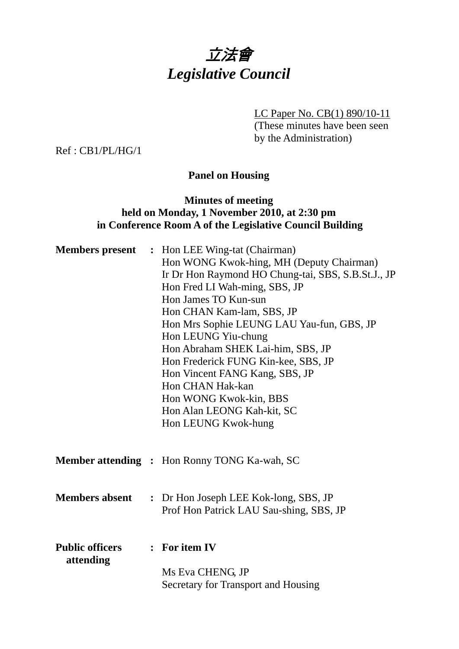

LC Paper No. CB(1) 890/10-11 (These minutes have been seen

by the Administration)

Ref : CB1/PL/HG/1

# **Panel on Housing**

# **Minutes of meeting held on Monday, 1 November 2010, at 2:30 pm in Conference Room A of the Legislative Council Building**

| <b>Members present</b>              | : Hon LEE Wing-tat (Chairman)<br>Hon WONG Kwok-hing, MH (Deputy Chairman)<br>Ir Dr Hon Raymond HO Chung-tai, SBS, S.B.St.J., JP<br>Hon Fred LI Wah-ming, SBS, JP<br>Hon James TO Kun-sun<br>Hon CHAN Kam-lam, SBS, JP<br>Hon Mrs Sophie LEUNG LAU Yau-fun, GBS, JP<br>Hon LEUNG Yiu-chung<br>Hon Abraham SHEK Lai-him, SBS, JP<br>Hon Frederick FUNG Kin-kee, SBS, JP<br>Hon Vincent FANG Kang, SBS, JP<br>Hon CHAN Hak-kan<br>Hon WONG Kwok-kin, BBS<br>Hon Alan LEONG Kah-kit, SC<br>Hon LEUNG Kwok-hung |
|-------------------------------------|------------------------------------------------------------------------------------------------------------------------------------------------------------------------------------------------------------------------------------------------------------------------------------------------------------------------------------------------------------------------------------------------------------------------------------------------------------------------------------------------------------|
|                                     | <b>Member attending : Hon Ronny TONG Ka-wah, SC</b>                                                                                                                                                                                                                                                                                                                                                                                                                                                        |
| <b>Members absent</b>               | : Dr Hon Joseph LEE Kok-long, SBS, JP<br>Prof Hon Patrick LAU Sau-shing, SBS, JP                                                                                                                                                                                                                                                                                                                                                                                                                           |
| <b>Public officers</b><br>attending | : For item IV<br>Ms Eva CHENG, JP<br>Secretary for Transport and Housing                                                                                                                                                                                                                                                                                                                                                                                                                                   |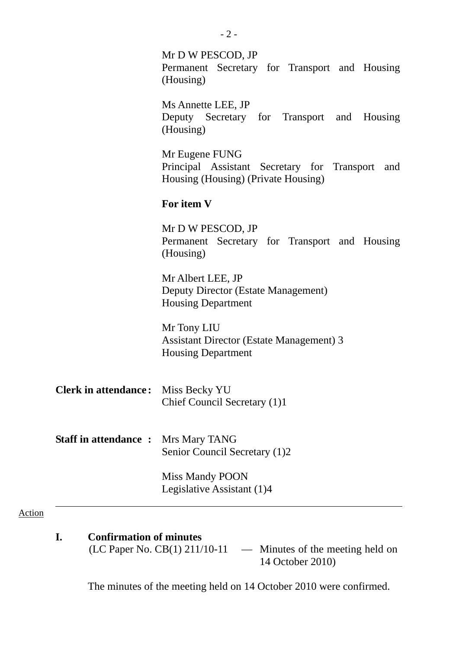|                             | $-2-$                                                                                                       |  |  |  |  |
|-----------------------------|-------------------------------------------------------------------------------------------------------------|--|--|--|--|
|                             | Mr D W PESCOD, JP<br>Permanent Secretary for Transport and Housing<br>(Housing)                             |  |  |  |  |
|                             | Ms Annette LEE, JP<br>Deputy Secretary for Transport and Housing<br>(Housing)                               |  |  |  |  |
|                             | Mr Eugene FUNG<br>Principal Assistant Secretary for Transport<br>and<br>Housing (Housing) (Private Housing) |  |  |  |  |
|                             | For item V                                                                                                  |  |  |  |  |
|                             | Mr D W PESCOD, JP<br>Permanent Secretary for Transport and Housing<br>(Housing)                             |  |  |  |  |
|                             | Mr Albert LEE, JP<br>Deputy Director (Estate Management)<br><b>Housing Department</b>                       |  |  |  |  |
|                             | Mr Tony LIU<br><b>Assistant Director (Estate Management) 3</b><br><b>Housing Department</b>                 |  |  |  |  |
| <b>Clerk in attendance:</b> | Miss Becky YU<br>Chief Council Secretary (1)1                                                               |  |  |  |  |
| <b>Staff in attendance:</b> | Mrs Mary TANG<br>Senior Council Secretary (1)2                                                              |  |  |  |  |
|                             | Miss Mandy POON<br>Legislative Assistant (1)4                                                               |  |  |  |  |

(LC Paper No. CB(1) 211/10-11 — Minutes of the meeting held on 14 October 2010)

The minutes of the meeting held on 14 October 2010 were confirmed.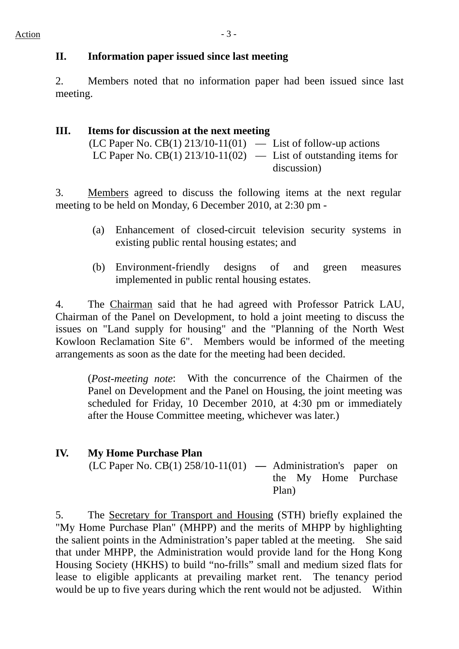### **II. Information paper issued since last meeting**

2. Members noted that no information paper had been issued since last meeting.

#### **III. Items for discussion at the next meeting**  (LC Paper No. CB(1) 213/10-11(01) — List of follow-up actions LC Paper No. CB(1) 213/10-11(02) — List of outstanding items for discussion)

3. Members agreed to discuss the following items at the next regular meeting to be held on Monday, 6 December 2010, at 2:30 pm -

- (a) Enhancement of closed-circuit television security systems in existing public rental housing estates; and
- (b) Environment-friendly designs of and green measures implemented in public rental housing estates.

4. The Chairman said that he had agreed with Professor Patrick LAU, Chairman of the Panel on Development, to hold a joint meeting to discuss the issues on "Land supply for housing" and the "Planning of the North West Kowloon Reclamation Site 6". Members would be informed of the meeting arrangements as soon as the date for the meeting had been decided.

(*Post-meeting note*: With the concurrence of the Chairmen of the Panel on Development and the Panel on Housing, the joint meeting was scheduled for Friday, 10 December 2010, at 4:30 pm or immediately after the House Committee meeting, whichever was later.)

### **IV. My Home Purchase Plan**

(LC Paper No. CB(1) 258/10-11(01) **—** Administration's paper on the My Home Purchase Plan)

5. The Secretary for Transport and Housing (STH) briefly explained the "My Home Purchase Plan" (MHPP) and the merits of MHPP by highlighting the salient points in the Administration's paper tabled at the meeting. She said that under MHPP, the Administration would provide land for the Hong Kong Housing Society (HKHS) to build "no-frills" small and medium sized flats for lease to eligible applicants at prevailing market rent. The tenancy period would be up to five years during which the rent would not be adjusted. Within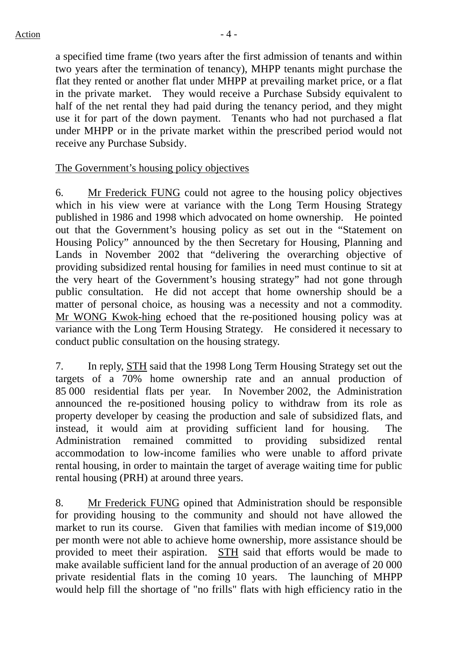a specified time frame (two years after the first admission of tenants and within two years after the termination of tenancy), MHPP tenants might purchase the flat they rented or another flat under MHPP at prevailing market price, or a flat in the private market. They would receive a Purchase Subsidy equivalent to half of the net rental they had paid during the tenancy period, and they might use it for part of the down payment. Tenants who had not purchased a flat under MHPP or in the private market within the prescribed period would not receive any Purchase Subsidy.

#### The Government's housing policy objectives

6. Mr Frederick FUNG could not agree to the housing policy objectives which in his view were at variance with the Long Term Housing Strategy published in 1986 and 1998 which advocated on home ownership. He pointed out that the Government's housing policy as set out in the "Statement on Housing Policy" announced by the then Secretary for Housing, Planning and Lands in November 2002 that "delivering the overarching objective of providing subsidized rental housing for families in need must continue to sit at the very heart of the Government's housing strategy" had not gone through public consultation. He did not accept that home ownership should be a matter of personal choice, as housing was a necessity and not a commodity. Mr WONG Kwok-hing echoed that the re-positioned housing policy was at variance with the Long Term Housing Strategy. He considered it necessary to conduct public consultation on the housing strategy.

7. In reply, STH said that the 1998 Long Term Housing Strategy set out the targets of a 70% home ownership rate and an annual production of 85 000 residential flats per year. In November 2002, the Administration announced the re-positioned housing policy to withdraw from its role as property developer by ceasing the production and sale of subsidized flats, and instead, it would aim at providing sufficient land for housing. The Administration remained committed to providing subsidized rental accommodation to low-income families who were unable to afford private rental housing, in order to maintain the target of average waiting time for public rental housing (PRH) at around three years.

8. Mr Frederick FUNG opined that Administration should be responsible for providing housing to the community and should not have allowed the market to run its course. Given that families with median income of \$19,000 per month were not able to achieve home ownership, more assistance should be provided to meet their aspiration. STH said that efforts would be made to make available sufficient land for the annual production of an average of 20 000 private residential flats in the coming 10 years. The launching of MHPP would help fill the shortage of "no frills" flats with high efficiency ratio in the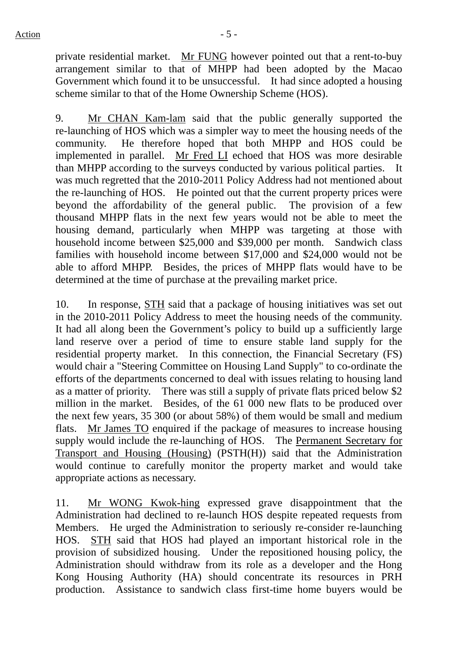private residential market. Mr FUNG however pointed out that a rent-to-buy arrangement similar to that of MHPP had been adopted by the Macao Government which found it to be unsuccessful. It had since adopted a housing scheme similar to that of the Home Ownership Scheme (HOS).

9. Mr CHAN Kam-lam said that the public generally supported the re-launching of HOS which was a simpler way to meet the housing needs of the community. He therefore hoped that both MHPP and HOS could be implemented in parallel. Mr Fred LI echoed that HOS was more desirable than MHPP according to the surveys conducted by various political parties. It was much regretted that the 2010-2011 Policy Address had not mentioned about the re-launching of HOS. He pointed out that the current property prices were beyond the affordability of the general public. The provision of a few thousand MHPP flats in the next few years would not be able to meet the housing demand, particularly when MHPP was targeting at those with household income between \$25,000 and \$39,000 per month. Sandwich class families with household income between \$17,000 and \$24,000 would not be able to afford MHPP. Besides, the prices of MHPP flats would have to be determined at the time of purchase at the prevailing market price.

10. In response, STH said that a package of housing initiatives was set out in the 2010-2011 Policy Address to meet the housing needs of the community. It had all along been the Government's policy to build up a sufficiently large land reserve over a period of time to ensure stable land supply for the residential property market. In this connection, the Financial Secretary (FS) would chair a "Steering Committee on Housing Land Supply" to co-ordinate the efforts of the departments concerned to deal with issues relating to housing land as a matter of priority. There was still a supply of private flats priced below \$2 million in the market. Besides, of the 61 000 new flats to be produced over the next few years, 35 300 (or about 58%) of them would be small and medium flats. Mr James TO enquired if the package of measures to increase housing supply would include the re-launching of HOS. The Permanent Secretary for Transport and Housing (Housing) (PSTH(H)) said that the Administration would continue to carefully monitor the property market and would take appropriate actions as necessary.

11. Mr WONG Kwok-hing expressed grave disappointment that the Administration had declined to re-launch HOS despite repeated requests from Members. He urged the Administration to seriously re-consider re-launching HOS. STH said that HOS had played an important historical role in the provision of subsidized housing. Under the repositioned housing policy, the Administration should withdraw from its role as a developer and the Hong Kong Housing Authority (HA) should concentrate its resources in PRH production. Assistance to sandwich class first-time home buyers would be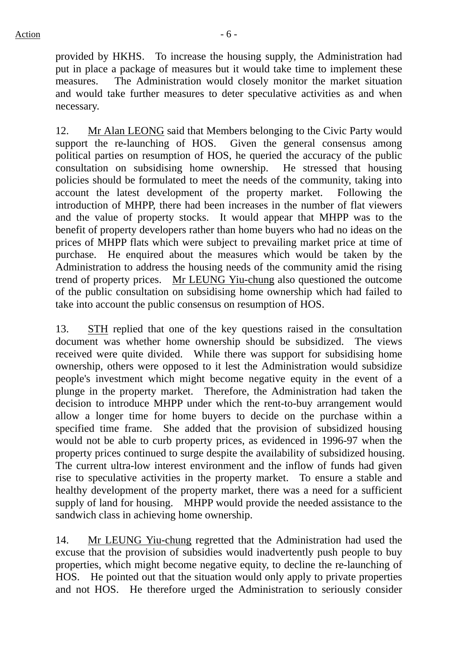provided by HKHS. To increase the housing supply, the Administration had put in place a package of measures but it would take time to implement these measures. The Administration would closely monitor the market situation and would take further measures to deter speculative activities as and when necessary.

12. Mr Alan LEONG said that Members belonging to the Civic Party would support the re-launching of HOS. Given the general consensus among political parties on resumption of HOS, he queried the accuracy of the public consultation on subsidising home ownership. He stressed that housing policies should be formulated to meet the needs of the community, taking into account the latest development of the property market. Following the introduction of MHPP, there had been increases in the number of flat viewers and the value of property stocks. It would appear that MHPP was to the benefit of property developers rather than home buyers who had no ideas on the prices of MHPP flats which were subject to prevailing market price at time of purchase. He enquired about the measures which would be taken by the Administration to address the housing needs of the community amid the rising trend of property prices. Mr LEUNG Yiu-chung also questioned the outcome of the public consultation on subsidising home ownership which had failed to take into account the public consensus on resumption of HOS.

13. STH replied that one of the key questions raised in the consultation document was whether home ownership should be subsidized. The views received were quite divided. While there was support for subsidising home ownership, others were opposed to it lest the Administration would subsidize people's investment which might become negative equity in the event of a plunge in the property market. Therefore, the Administration had taken the decision to introduce MHPP under which the rent-to-buy arrangement would allow a longer time for home buyers to decide on the purchase within a specified time frame. She added that the provision of subsidized housing would not be able to curb property prices, as evidenced in 1996-97 when the property prices continued to surge despite the availability of subsidized housing. The current ultra-low interest environment and the inflow of funds had given rise to speculative activities in the property market. To ensure a stable and healthy development of the property market, there was a need for a sufficient supply of land for housing. MHPP would provide the needed assistance to the sandwich class in achieving home ownership.

14. Mr LEUNG Yiu-chung regretted that the Administration had used the excuse that the provision of subsidies would inadvertently push people to buy properties, which might become negative equity, to decline the re-launching of HOS. He pointed out that the situation would only apply to private properties and not HOS. He therefore urged the Administration to seriously consider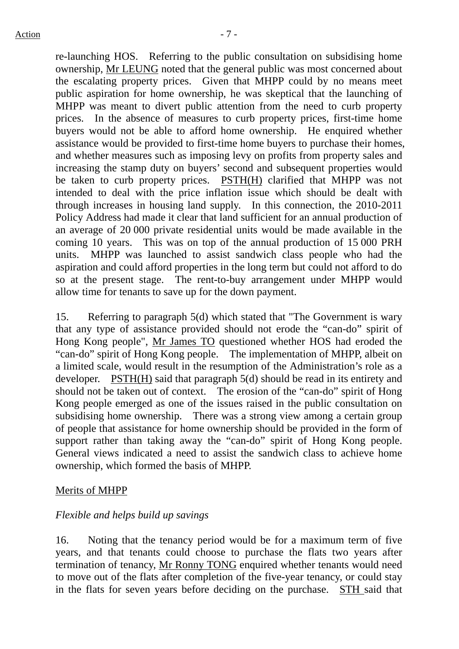re-launching HOS. Referring to the public consultation on subsidising home ownership, Mr LEUNG noted that the general public was most concerned about the escalating property prices. Given that MHPP could by no means meet public aspiration for home ownership, he was skeptical that the launching of MHPP was meant to divert public attention from the need to curb property prices. In the absence of measures to curb property prices, first-time home buyers would not be able to afford home ownership. He enquired whether assistance would be provided to first-time home buyers to purchase their homes, and whether measures such as imposing levy on profits from property sales and increasing the stamp duty on buyers' second and subsequent properties would be taken to curb property prices. PSTH(H) clarified that MHPP was not intended to deal with the price inflation issue which should be dealt with through increases in housing land supply. In this connection, the 2010-2011 Policy Address had made it clear that land sufficient for an annual production of an average of 20 000 private residential units would be made available in the coming 10 years. This was on top of the annual production of 15 000 PRH units. MHPP was launched to assist sandwich class people who had the aspiration and could afford properties in the long term but could not afford to do so at the present stage. The rent-to-buy arrangement under MHPP would allow time for tenants to save up for the down payment.

15. Referring to paragraph 5(d) which stated that "The Government is wary that any type of assistance provided should not erode the "can-do" spirit of Hong Kong people", Mr James TO questioned whether HOS had eroded the "can-do" spirit of Hong Kong people. The implementation of MHPP, albeit on a limited scale, would result in the resumption of the Administration's role as a developer. PSTH(H) said that paragraph 5(d) should be read in its entirety and should not be taken out of context. The erosion of the "can-do" spirit of Hong Kong people emerged as one of the issues raised in the public consultation on subsidising home ownership. There was a strong view among a certain group of people that assistance for home ownership should be provided in the form of support rather than taking away the "can-do" spirit of Hong Kong people. General views indicated a need to assist the sandwich class to achieve home ownership, which formed the basis of MHPP.

#### Merits of MHPP

### *Flexible and helps build up savings*

16. Noting that the tenancy period would be for a maximum term of five years, and that tenants could choose to purchase the flats two years after termination of tenancy, Mr Ronny TONG enquired whether tenants would need to move out of the flats after completion of the five-year tenancy, or could stay in the flats for seven years before deciding on the purchase. STH said that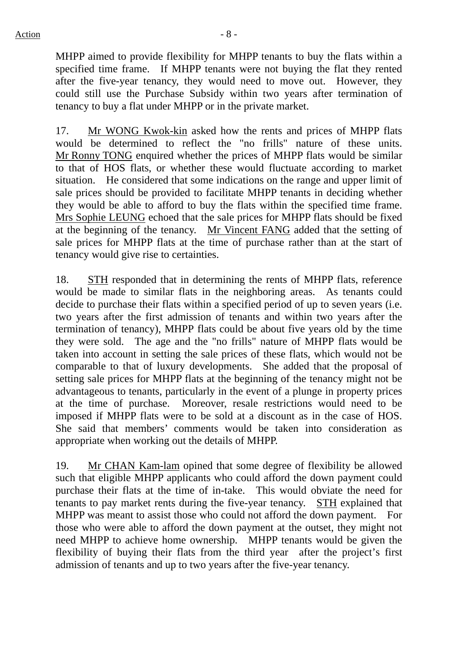MHPP aimed to provide flexibility for MHPP tenants to buy the flats within a specified time frame. If MHPP tenants were not buying the flat they rented after the five-year tenancy, they would need to move out. However, they could still use the Purchase Subsidy within two years after termination of tenancy to buy a flat under MHPP or in the private market.

17. Mr WONG Kwok-kin asked how the rents and prices of MHPP flats would be determined to reflect the "no frills" nature of these units. Mr Ronny TONG enquired whether the prices of MHPP flats would be similar to that of HOS flats, or whether these would fluctuate according to market situation. He considered that some indications on the range and upper limit of sale prices should be provided to facilitate MHPP tenants in deciding whether they would be able to afford to buy the flats within the specified time frame. Mrs Sophie LEUNG echoed that the sale prices for MHPP flats should be fixed at the beginning of the tenancy. Mr Vincent FANG added that the setting of sale prices for MHPP flats at the time of purchase rather than at the start of tenancy would give rise to certainties.

18. STH responded that in determining the rents of MHPP flats, reference would be made to similar flats in the neighboring areas. As tenants could decide to purchase their flats within a specified period of up to seven years (i.e. two years after the first admission of tenants and within two years after the termination of tenancy), MHPP flats could be about five years old by the time they were sold. The age and the "no frills" nature of MHPP flats would be taken into account in setting the sale prices of these flats, which would not be comparable to that of luxury developments. She added that the proposal of setting sale prices for MHPP flats at the beginning of the tenancy might not be advantageous to tenants, particularly in the event of a plunge in property prices at the time of purchase. Moreover, resale restrictions would need to be imposed if MHPP flats were to be sold at a discount as in the case of HOS. She said that members' comments would be taken into consideration as appropriate when working out the details of MHPP.

19. Mr CHAN Kam-lam opined that some degree of flexibility be allowed such that eligible MHPP applicants who could afford the down payment could purchase their flats at the time of in-take. This would obviate the need for tenants to pay market rents during the five-year tenancy. STH explained that MHPP was meant to assist those who could not afford the down payment. For those who were able to afford the down payment at the outset, they might not need MHPP to achieve home ownership. MHPP tenants would be given the flexibility of buying their flats from the third year after the project's first admission of tenants and up to two years after the five-year tenancy.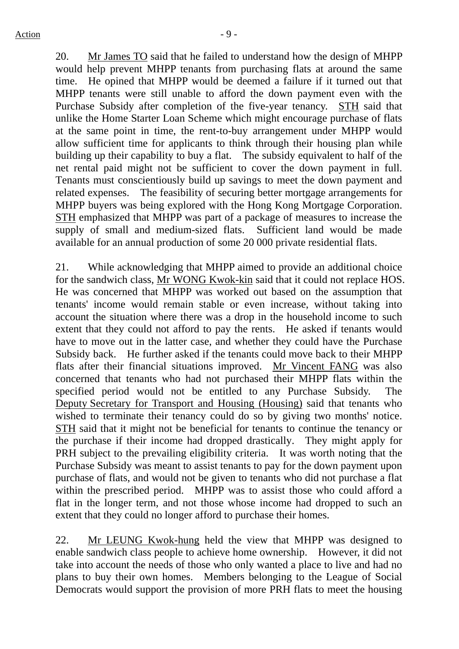20. Mr James TO said that he failed to understand how the design of MHPP would help prevent MHPP tenants from purchasing flats at around the same time. He opined that MHPP would be deemed a failure if it turned out that MHPP tenants were still unable to afford the down payment even with the Purchase Subsidy after completion of the five-year tenancy. STH said that unlike the Home Starter Loan Scheme which might encourage purchase of flats at the same point in time, the rent-to-buy arrangement under MHPP would allow sufficient time for applicants to think through their housing plan while building up their capability to buy a flat. The subsidy equivalent to half of the net rental paid might not be sufficient to cover the down payment in full. Tenants must conscientiously build up savings to meet the down payment and related expenses. The feasibility of securing better mortgage arrangements for MHPP buyers was being explored with the Hong Kong Mortgage Corporation. STH emphasized that MHPP was part of a package of measures to increase the supply of small and medium-sized flats. Sufficient land would be made available for an annual production of some 20 000 private residential flats.

21. While acknowledging that MHPP aimed to provide an additional choice for the sandwich class, Mr WONG Kwok-kin said that it could not replace HOS. He was concerned that MHPP was worked out based on the assumption that tenants' income would remain stable or even increase, without taking into account the situation where there was a drop in the household income to such extent that they could not afford to pay the rents. He asked if tenants would have to move out in the latter case, and whether they could have the Purchase Subsidy back. He further asked if the tenants could move back to their MHPP flats after their financial situations improved. Mr Vincent FANG was also concerned that tenants who had not purchased their MHPP flats within the specified period would not be entitled to any Purchase Subsidy. The Deputy Secretary for Transport and Housing (Housing) said that tenants who wished to terminate their tenancy could do so by giving two months' notice. STH said that it might not be beneficial for tenants to continue the tenancy or the purchase if their income had dropped drastically. They might apply for PRH subject to the prevailing eligibility criteria. It was worth noting that the Purchase Subsidy was meant to assist tenants to pay for the down payment upon purchase of flats, and would not be given to tenants who did not purchase a flat within the prescribed period. MHPP was to assist those who could afford a flat in the longer term, and not those whose income had dropped to such an extent that they could no longer afford to purchase their homes.

22. Mr LEUNG Kwok-hung held the view that MHPP was designed to enable sandwich class people to achieve home ownership. However, it did not take into account the needs of those who only wanted a place to live and had no plans to buy their own homes. Members belonging to the League of Social Democrats would support the provision of more PRH flats to meet the housing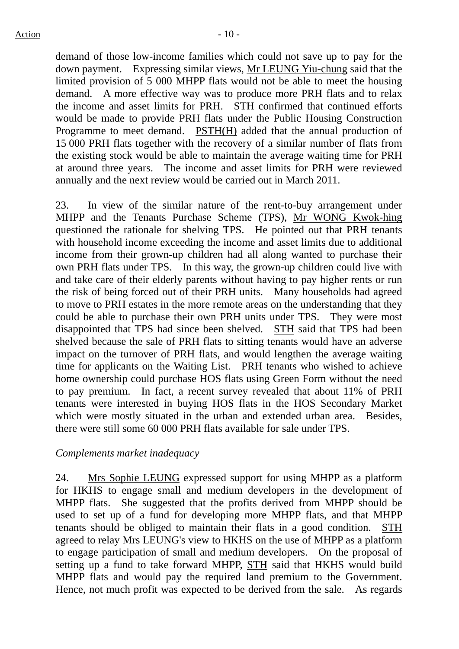demand of those low-income families which could not save up to pay for the down payment. Expressing similar views, Mr LEUNG Yiu-chung said that the limited provision of 5 000 MHPP flats would not be able to meet the housing demand. A more effective way was to produce more PRH flats and to relax the income and asset limits for PRH. STH confirmed that continued efforts would be made to provide PRH flats under the Public Housing Construction Programme to meet demand. PSTH(H) added that the annual production of 15 000 PRH flats together with the recovery of a similar number of flats from the existing stock would be able to maintain the average waiting time for PRH at around three years. The income and asset limits for PRH were reviewed annually and the next review would be carried out in March 2011.

23. In view of the similar nature of the rent-to-buy arrangement under MHPP and the Tenants Purchase Scheme (TPS), Mr WONG Kwok-hing questioned the rationale for shelving TPS. He pointed out that PRH tenants with household income exceeding the income and asset limits due to additional income from their grown-up children had all along wanted to purchase their own PRH flats under TPS. In this way, the grown-up children could live with and take care of their elderly parents without having to pay higher rents or run the risk of being forced out of their PRH units. Many households had agreed to move to PRH estates in the more remote areas on the understanding that they could be able to purchase their own PRH units under TPS. They were most disappointed that TPS had since been shelved. STH said that TPS had been shelved because the sale of PRH flats to sitting tenants would have an adverse impact on the turnover of PRH flats, and would lengthen the average waiting time for applicants on the Waiting List. PRH tenants who wished to achieve home ownership could purchase HOS flats using Green Form without the need to pay premium. In fact, a recent survey revealed that about 11% of PRH tenants were interested in buying HOS flats in the HOS Secondary Market which were mostly situated in the urban and extended urban area. Besides, there were still some 60 000 PRH flats available for sale under TPS.

#### *Complements market inadequacy*

24. Mrs Sophie LEUNG expressed support for using MHPP as a platform for HKHS to engage small and medium developers in the development of MHPP flats. She suggested that the profits derived from MHPP should be used to set up of a fund for developing more MHPP flats, and that MHPP tenants should be obliged to maintain their flats in a good condition. STH agreed to relay Mrs LEUNG's view to HKHS on the use of MHPP as a platform to engage participation of small and medium developers. On the proposal of setting up a fund to take forward MHPP, STH said that HKHS would build MHPP flats and would pay the required land premium to the Government. Hence, not much profit was expected to be derived from the sale. As regards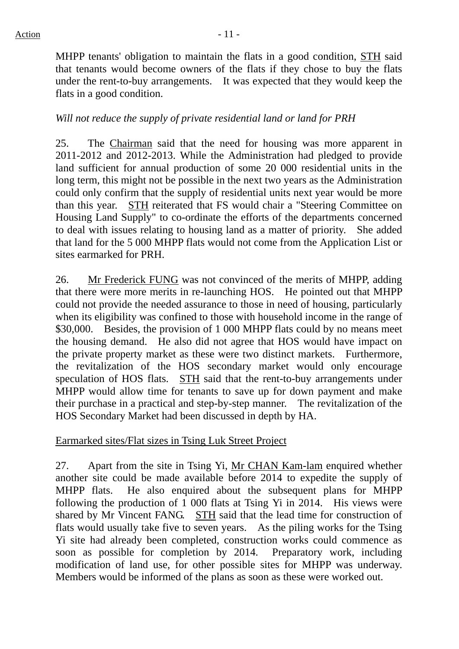MHPP tenants' obligation to maintain the flats in a good condition, STH said that tenants would become owners of the flats if they chose to buy the flats under the rent-to-buy arrangements. It was expected that they would keep the flats in a good condition.

### *Will not reduce the supply of private residential land or land for PRH*

25. The Chairman said that the need for housing was more apparent in 2011-2012 and 2012-2013. While the Administration had pledged to provide land sufficient for annual production of some 20 000 residential units in the long term, this might not be possible in the next two years as the Administration could only confirm that the supply of residential units next year would be more than this year. STH reiterated that FS would chair a "Steering Committee on Housing Land Supply" to co-ordinate the efforts of the departments concerned to deal with issues relating to housing land as a matter of priority. She added that land for the 5 000 MHPP flats would not come from the Application List or sites earmarked for PRH.

26. Mr Frederick FUNG was not convinced of the merits of MHPP, adding that there were more merits in re-launching HOS. He pointed out that MHPP could not provide the needed assurance to those in need of housing, particularly when its eligibility was confined to those with household income in the range of \$30,000. Besides, the provision of 1 000 MHPP flats could by no means meet the housing demand. He also did not agree that HOS would have impact on the private property market as these were two distinct markets. Furthermore, the revitalization of the HOS secondary market would only encourage speculation of HOS flats. STH said that the rent-to-buy arrangements under MHPP would allow time for tenants to save up for down payment and make their purchase in a practical and step-by-step manner. The revitalization of the HOS Secondary Market had been discussed in depth by HA.

Earmarked sites/Flat sizes in Tsing Luk Street Project

27. Apart from the site in Tsing Yi, Mr CHAN Kam-lam enquired whether another site could be made available before 2014 to expedite the supply of MHPP flats. He also enquired about the subsequent plans for MHPP following the production of 1 000 flats at Tsing Yi in 2014. His views were shared by Mr Vincent FANG. STH said that the lead time for construction of flats would usually take five to seven years. As the piling works for the Tsing Yi site had already been completed, construction works could commence as soon as possible for completion by 2014. Preparatory work, including modification of land use, for other possible sites for MHPP was underway. Members would be informed of the plans as soon as these were worked out.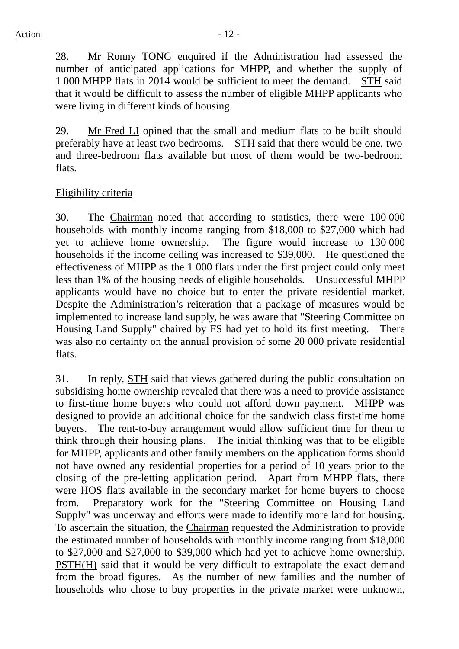28. Mr Ronny TONG enquired if the Administration had assessed the number of anticipated applications for MHPP, and whether the supply of 1 000 MHPP flats in 2014 would be sufficient to meet the demand. STH said that it would be difficult to assess the number of eligible MHPP applicants who were living in different kinds of housing.

29. Mr Fred LI opined that the small and medium flats to be built should preferably have at least two bedrooms. STH said that there would be one, two and three-bedroom flats available but most of them would be two-bedroom flats.

# Eligibility criteria

30. The Chairman noted that according to statistics, there were 100 000 households with monthly income ranging from \$18,000 to \$27,000 which had yet to achieve home ownership. The figure would increase to 130 000 households if the income ceiling was increased to \$39,000. He questioned the effectiveness of MHPP as the 1 000 flats under the first project could only meet less than 1% of the housing needs of eligible households. Unsuccessful MHPP applicants would have no choice but to enter the private residential market. Despite the Administration's reiteration that a package of measures would be implemented to increase land supply, he was aware that "Steering Committee on Housing Land Supply" chaired by FS had yet to hold its first meeting. There was also no certainty on the annual provision of some 20 000 private residential flats.

31. In reply, STH said that views gathered during the public consultation on subsidising home ownership revealed that there was a need to provide assistance to first-time home buyers who could not afford down payment. MHPP was designed to provide an additional choice for the sandwich class first-time home buyers. The rent-to-buy arrangement would allow sufficient time for them to think through their housing plans. The initial thinking was that to be eligible for MHPP, applicants and other family members on the application forms should not have owned any residential properties for a period of 10 years prior to the closing of the pre-letting application period. Apart from MHPP flats, there were HOS flats available in the secondary market for home buyers to choose from. Preparatory work for the "Steering Committee on Housing Land Supply" was underway and efforts were made to identify more land for housing. To ascertain the situation, the Chairman requested the Administration to provide the estimated number of households with monthly income ranging from \$18,000 to \$27,000 and \$27,000 to \$39,000 which had yet to achieve home ownership. PSTH(H) said that it would be very difficult to extrapolate the exact demand from the broad figures. As the number of new families and the number of households who chose to buy properties in the private market were unknown,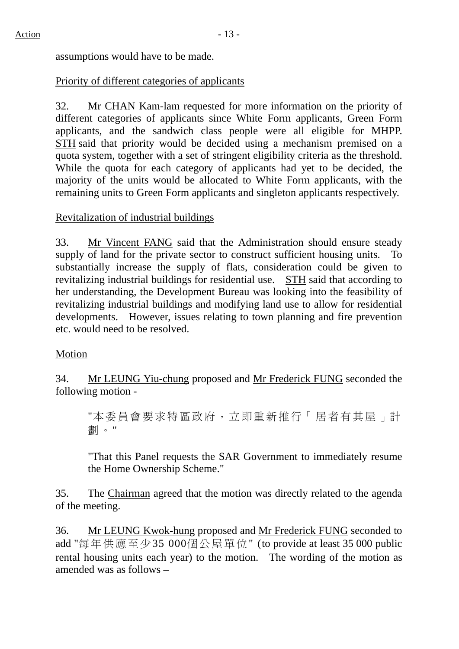assumptions would have to be made.

## Priority of different categories of applicants

32. Mr CHAN Kam-lam requested for more information on the priority of different categories of applicants since White Form applicants, Green Form applicants, and the sandwich class people were all eligible for MHPP. STH said that priority would be decided using a mechanism premised on a quota system, together with a set of stringent eligibility criteria as the threshold. While the quota for each category of applicants had yet to be decided, the majority of the units would be allocated to White Form applicants, with the remaining units to Green Form applicants and singleton applicants respectively.

## Revitalization of industrial buildings

33. Mr Vincent FANG said that the Administration should ensure steady supply of land for the private sector to construct sufficient housing units. To substantially increase the supply of flats, consideration could be given to revitalizing industrial buildings for residential use. STH said that according to her understanding, the Development Bureau was looking into the feasibility of revitalizing industrial buildings and modifying land use to allow for residential developments. However, issues relating to town planning and fire prevention etc. would need to be resolved.

### Motion

34. Mr LEUNG Yiu-chung proposed and Mr Frederick FUNG seconded the following motion -

"本委員會要求特區政府,立即重新推行「居者有其屋」計 劃。"

"That this Panel requests the SAR Government to immediately resume the Home Ownership Scheme."

35. The Chairman agreed that the motion was directly related to the agenda of the meeting.

36. Mr LEUNG Kwok-hung proposed and Mr Frederick FUNG seconded to add "每年供應至少35 000個公屋單位" (to provide at least 35 000 public rental housing units each year) to the motion. The wording of the motion as amended was as follows –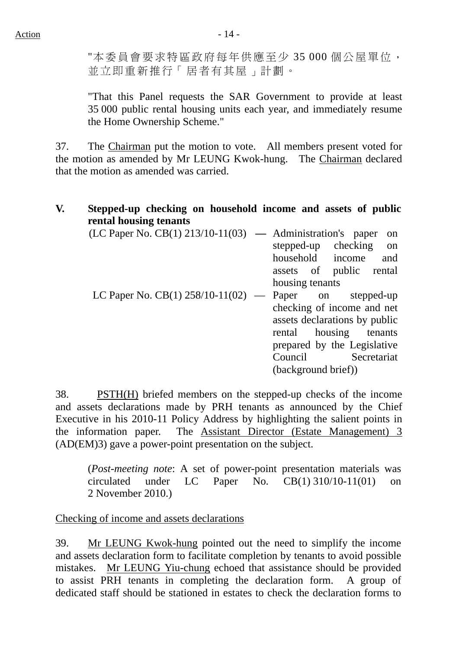"本委員會要求特區政府每年供應至少 35 000 個公屋單位, 並立即重新推行「居者有其屋」計劃。

"That this Panel requests the SAR Government to provide at least 35 000 public rental housing units each year, and immediately resume the Home Ownership Scheme."

37. The Chairman put the motion to vote. All members present voted for the motion as amended by Mr LEUNG Kwok-hung. The Chairman declared that the motion as amended was carried.

#### **V. Stepped-up checking on household income and assets of public rental housing tenants**

| $(LC$ Paper No. $CB(1)$ 213/10-11(03) — Administration's paper |                     | on                            |
|----------------------------------------------------------------|---------------------|-------------------------------|
|                                                                |                     | stepped-up checking on        |
|                                                                |                     | household income<br>and       |
|                                                                |                     | assets of public rental       |
|                                                                | housing tenants     |                               |
| LC Paper No. CB(1) $258/10-11(02)$ — Paper on stepped-up       |                     |                               |
|                                                                |                     | checking of income and net    |
|                                                                |                     | assets declarations by public |
|                                                                |                     | rental housing tenants        |
|                                                                |                     | prepared by the Legislative   |
|                                                                |                     | Council Secretariat           |
|                                                                | (background brief)) |                               |

38. PSTH(H) briefed members on the stepped-up checks of the income and assets declarations made by PRH tenants as announced by the Chief Executive in his 2010-11 Policy Address by highlighting the salient points in the information paper. The Assistant Director (Estate Management) 3 (AD(EM)3) gave a power-point presentation on the subject.

(*Post-meeting note*: A set of power-point presentation materials was circulated under LC Paper No. CB(1) 310/10-11(01) on 2 November 2010.)

Checking of income and assets declarations

39. Mr LEUNG Kwok-hung pointed out the need to simplify the income and assets declaration form to facilitate completion by tenants to avoid possible mistakes. Mr LEUNG Yiu-chung echoed that assistance should be provided to assist PRH tenants in completing the declaration form. A group of dedicated staff should be stationed in estates to check the declaration forms to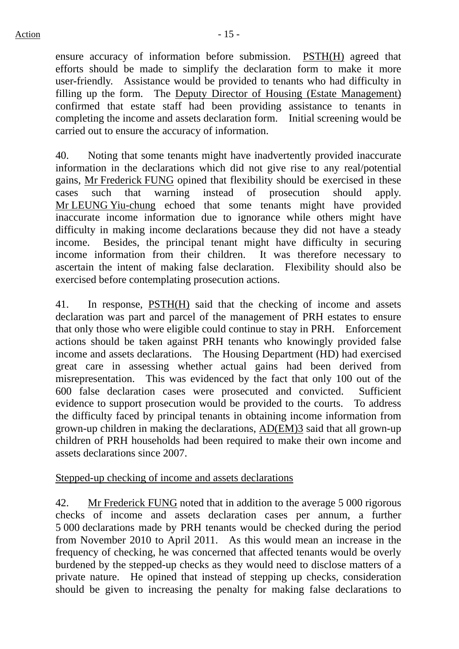ensure accuracy of information before submission. PSTH(H) agreed that efforts should be made to simplify the declaration form to make it more user-friendly. Assistance would be provided to tenants who had difficulty in filling up the form. The Deputy Director of Housing (Estate Management) confirmed that estate staff had been providing assistance to tenants in completing the income and assets declaration form. Initial screening would be carried out to ensure the accuracy of information.

40. Noting that some tenants might have inadvertently provided inaccurate information in the declarations which did not give rise to any real/potential gains, Mr Frederick FUNG opined that flexibility should be exercised in these cases such that warning instead of prosecution should apply. Mr LEUNG Yiu-chung echoed that some tenants might have provided inaccurate income information due to ignorance while others might have difficulty in making income declarations because they did not have a steady income. Besides, the principal tenant might have difficulty in securing income information from their children. It was therefore necessary to ascertain the intent of making false declaration. Flexibility should also be exercised before contemplating prosecution actions.

41. In response, PSTH(H) said that the checking of income and assets declaration was part and parcel of the management of PRH estates to ensure that only those who were eligible could continue to stay in PRH. Enforcement actions should be taken against PRH tenants who knowingly provided false income and assets declarations. The Housing Department (HD) had exercised great care in assessing whether actual gains had been derived from misrepresentation. This was evidenced by the fact that only 100 out of the 600 false declaration cases were prosecuted and convicted. Sufficient evidence to support prosecution would be provided to the courts. To address the difficulty faced by principal tenants in obtaining income information from grown-up children in making the declarations, AD(EM)3 said that all grown-up children of PRH households had been required to make their own income and assets declarations since 2007.

# Stepped-up checking of income and assets declarations

42. Mr Frederick FUNG noted that in addition to the average 5 000 rigorous checks of income and assets declaration cases per annum, a further 5 000 declarations made by PRH tenants would be checked during the period from November 2010 to April 2011. As this would mean an increase in the frequency of checking, he was concerned that affected tenants would be overly burdened by the stepped-up checks as they would need to disclose matters of a private nature. He opined that instead of stepping up checks, consideration should be given to increasing the penalty for making false declarations to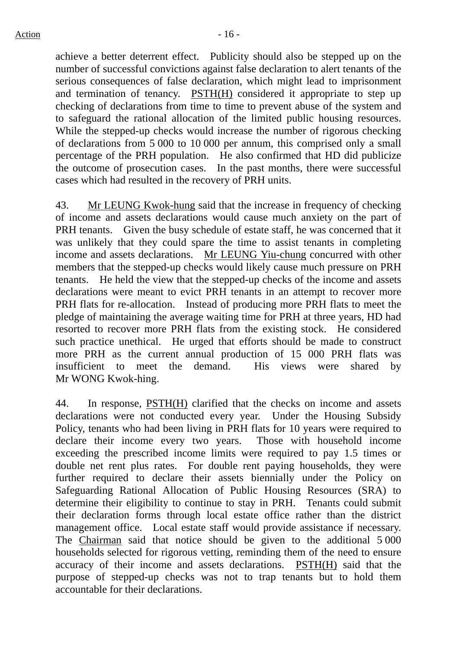achieve a better deterrent effect. Publicity should also be stepped up on the number of successful convictions against false declaration to alert tenants of the serious consequences of false declaration, which might lead to imprisonment and termination of tenancy. PSTH(H) considered it appropriate to step up checking of declarations from time to time to prevent abuse of the system and to safeguard the rational allocation of the limited public housing resources. While the stepped-up checks would increase the number of rigorous checking of declarations from 5 000 to 10 000 per annum, this comprised only a small percentage of the PRH population. He also confirmed that HD did publicize the outcome of prosecution cases. In the past months, there were successful cases which had resulted in the recovery of PRH units.

43. Mr LEUNG Kwok-hung said that the increase in frequency of checking of income and assets declarations would cause much anxiety on the part of PRH tenants. Given the busy schedule of estate staff, he was concerned that it was unlikely that they could spare the time to assist tenants in completing income and assets declarations. Mr LEUNG Yiu-chung concurred with other members that the stepped-up checks would likely cause much pressure on PRH tenants. He held the view that the stepped-up checks of the income and assets declarations were meant to evict PRH tenants in an attempt to recover more PRH flats for re-allocation. Instead of producing more PRH flats to meet the pledge of maintaining the average waiting time for PRH at three years, HD had resorted to recover more PRH flats from the existing stock. He considered such practice unethical. He urged that efforts should be made to construct more PRH as the current annual production of 15 000 PRH flats was insufficient to meet the demand. His views were shared by Mr WONG Kwok-hing.

44. In response, PSTH(H) clarified that the checks on income and assets declarations were not conducted every year. Under the Housing Subsidy Policy, tenants who had been living in PRH flats for 10 years were required to declare their income every two years. Those with household income exceeding the prescribed income limits were required to pay 1.5 times or double net rent plus rates. For double rent paying households, they were further required to declare their assets biennially under the Policy on Safeguarding Rational Allocation of Public Housing Resources (SRA) to determine their eligibility to continue to stay in PRH. Tenants could submit their declaration forms through local estate office rather than the district management office. Local estate staff would provide assistance if necessary. The Chairman said that notice should be given to the additional 5 000 households selected for rigorous vetting, reminding them of the need to ensure accuracy of their income and assets declarations. PSTH(H) said that the purpose of stepped-up checks was not to trap tenants but to hold them accountable for their declarations.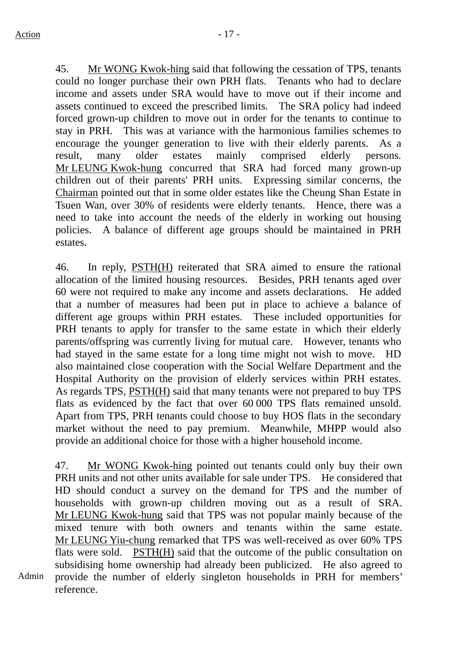45. Mr WONG Kwok-hing said that following the cessation of TPS, tenants could no longer purchase their own PRH flats. Tenants who had to declare income and assets under SRA would have to move out if their income and assets continued to exceed the prescribed limits. The SRA policy had indeed forced grown-up children to move out in order for the tenants to continue to stay in PRH. This was at variance with the harmonious families schemes to encourage the younger generation to live with their elderly parents. As a result, many older estates mainly comprised elderly persons. Mr LEUNG Kwok-hung concurred that SRA had forced many grown-up children out of their parents' PRH units. Expressing similar concerns, the Chairman pointed out that in some older estates like the Cheung Shan Estate in Tsuen Wan, over 30% of residents were elderly tenants. Hence, there was a need to take into account the needs of the elderly in working out housing policies. A balance of different age groups should be maintained in PRH estates.

46. In reply, PSTH(H) reiterated that SRA aimed to ensure the rational allocation of the limited housing resources. Besides, PRH tenants aged over 60 were not required to make any income and assets declarations. He added that a number of measures had been put in place to achieve a balance of different age groups within PRH estates. These included opportunities for PRH tenants to apply for transfer to the same estate in which their elderly parents/offspring was currently living for mutual care. However, tenants who had stayed in the same estate for a long time might not wish to move. HD also maintained close cooperation with the Social Welfare Department and the Hospital Authority on the provision of elderly services within PRH estates. As regards TPS, PSTH(H) said that many tenants were not prepared to buy TPS flats as evidenced by the fact that over 60 000 TPS flats remained unsold. Apart from TPS, PRH tenants could choose to buy HOS flats in the secondary market without the need to pay premium. Meanwhile, MHPP would also provide an additional choice for those with a higher household income.

47. Mr WONG Kwok-hing pointed out tenants could only buy their own PRH units and not other units available for sale under TPS. He considered that HD should conduct a survey on the demand for TPS and the number of households with grown-up children moving out as a result of SRA. Mr LEUNG Kwok-hung said that TPS was not popular mainly because of the mixed tenure with both owners and tenants within the same estate. Mr LEUNG Yiu-chung remarked that TPS was well-received as over 60% TPS flats were sold. PSTH(H) said that the outcome of the public consultation on subsidising home ownership had already been publicized. He also agreed to provide the number of elderly singleton households in PRH for members' reference.

Admin